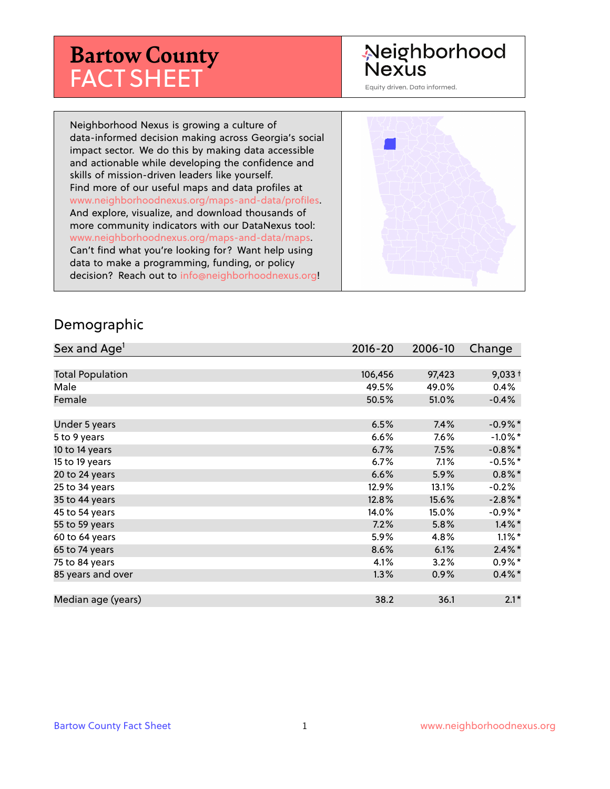# **Bartow County** FACT SHEET

# Neighborhood **Nexus**

Equity driven. Data informed.

Neighborhood Nexus is growing a culture of data-informed decision making across Georgia's social impact sector. We do this by making data accessible and actionable while developing the confidence and skills of mission-driven leaders like yourself. Find more of our useful maps and data profiles at www.neighborhoodnexus.org/maps-and-data/profiles. And explore, visualize, and download thousands of more community indicators with our DataNexus tool: www.neighborhoodnexus.org/maps-and-data/maps. Can't find what you're looking for? Want help using data to make a programming, funding, or policy decision? Reach out to [info@neighborhoodnexus.org!](mailto:info@neighborhoodnexus.org)



#### Demographic

| Sex and Age <sup>1</sup> | $2016 - 20$ | 2006-10 | Change     |
|--------------------------|-------------|---------|------------|
|                          |             |         |            |
| <b>Total Population</b>  | 106,456     | 97,423  | $9,033+$   |
| Male                     | 49.5%       | 49.0%   | 0.4%       |
| Female                   | 50.5%       | 51.0%   | $-0.4%$    |
|                          |             |         |            |
| Under 5 years            | 6.5%        | 7.4%    | $-0.9%$ *  |
| 5 to 9 years             | 6.6%        | 7.6%    | $-1.0\%$ * |
| 10 to 14 years           | 6.7%        | 7.5%    | $-0.8\%$ * |
| 15 to 19 years           | 6.7%        | 7.1%    | $-0.5%$ *  |
| 20 to 24 years           | 6.6%        | 5.9%    | $0.8\%$ *  |
| 25 to 34 years           | 12.9%       | 13.1%   | $-0.2%$    |
| 35 to 44 years           | 12.8%       | 15.6%   | $-2.8\%$ * |
| 45 to 54 years           | 14.0%       | 15.0%   | $-0.9%$ *  |
| 55 to 59 years           | 7.2%        | 5.8%    | $1.4\%$ *  |
| 60 to 64 years           | 5.9%        | 4.8%    | $1.1\%$ *  |
| 65 to 74 years           | 8.6%        | 6.1%    | $2.4\%$ *  |
| 75 to 84 years           | 4.1%        | 3.2%    | $0.9\%$ *  |
| 85 years and over        | 1.3%        | 0.9%    | $0.4\%$ *  |
|                          |             |         |            |
| Median age (years)       | 38.2        | 36.1    | $2.1*$     |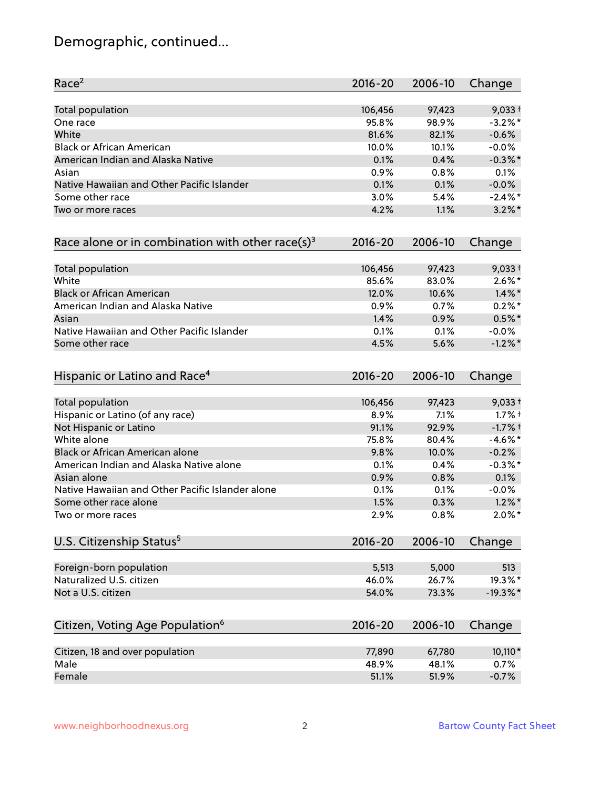# Demographic, continued...

| Race <sup>2</sup>                                   | $2016 - 20$ | 2006-10 | Change      |
|-----------------------------------------------------|-------------|---------|-------------|
| <b>Total population</b>                             | 106,456     | 97,423  | $9,033+$    |
| One race                                            | 95.8%       | 98.9%   | $-3.2\%$ *  |
| White                                               | 81.6%       | 82.1%   | $-0.6%$     |
| <b>Black or African American</b>                    | 10.0%       | 10.1%   | $-0.0%$     |
| American Indian and Alaska Native                   | 0.1%        | 0.4%    | $-0.3\%$ *  |
| Asian                                               | 0.9%        | 0.8%    | 0.1%        |
| Native Hawaiian and Other Pacific Islander          | 0.1%        | 0.1%    | $-0.0%$     |
| Some other race                                     | 3.0%        | 5.4%    | $-2.4\%$ *  |
| Two or more races                                   | 4.2%        | 1.1%    | $3.2\%$ *   |
| Race alone or in combination with other race(s) $3$ | $2016 - 20$ | 2006-10 | Change      |
| Total population                                    | 106,456     | 97,423  | $9,033+$    |
| White                                               | 85.6%       | 83.0%   | $2.6\%*$    |
| <b>Black or African American</b>                    | 12.0%       | 10.6%   | $1.4\%$ *   |
| American Indian and Alaska Native                   | 0.9%        | 0.7%    | $0.2%$ *    |
| Asian                                               | 1.4%        | 0.9%    | $0.5%$ *    |
| Native Hawaiian and Other Pacific Islander          | 0.1%        | 0.1%    | $-0.0%$     |
| Some other race                                     | 4.5%        | 5.6%    | $-1.2\%$ *  |
| Hispanic or Latino and Race <sup>4</sup>            | $2016 - 20$ | 2006-10 | Change      |
| <b>Total population</b>                             | 106,456     | 97,423  | $9,033+$    |
| Hispanic or Latino (of any race)                    | 8.9%        | 7.1%    | $1.7%$ †    |
| Not Hispanic or Latino                              | 91.1%       | 92.9%   | $-1.7%$ +   |
| White alone                                         | 75.8%       | 80.4%   | $-4.6\%$ *  |
| Black or African American alone                     | 9.8%        | 10.0%   | $-0.2%$     |
| American Indian and Alaska Native alone             | 0.1%        | 0.4%    | $-0.3\%$ *  |
| Asian alone                                         | 0.9%        | 0.8%    | 0.1%        |
| Native Hawaiian and Other Pacific Islander alone    | 0.1%        | 0.1%    | $-0.0%$     |
| Some other race alone                               | 1.5%        | 0.3%    | $1.2\%$ *   |
| Two or more races                                   | 2.9%        | 0.8%    | $2.0\%$ *   |
| U.S. Citizenship Status <sup>5</sup>                | $2016 - 20$ | 2006-10 | Change      |
| Foreign-born population                             | 5,513       | 5,000   | 513         |
| Naturalized U.S. citizen                            | 46.0%       | 26.7%   | 19.3%*      |
| Not a U.S. citizen                                  | 54.0%       | 73.3%   | $-19.3\%$ * |
|                                                     |             |         |             |
| Citizen, Voting Age Population <sup>6</sup>         | $2016 - 20$ | 2006-10 | Change      |
| Citizen, 18 and over population                     | 77,890      | 67,780  | 10,110*     |
| Male                                                | 48.9%       | 48.1%   | 0.7%        |
| Female                                              | 51.1%       | 51.9%   | $-0.7%$     |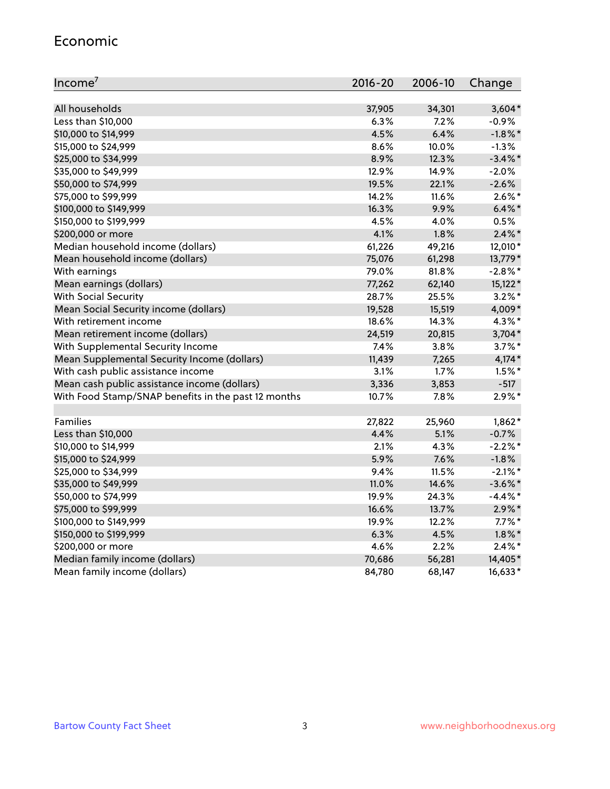#### Economic

| Income <sup>7</sup>                                 | $2016 - 20$ | 2006-10 | Change     |
|-----------------------------------------------------|-------------|---------|------------|
|                                                     |             |         |            |
| All households                                      | 37,905      | 34,301  | $3,604*$   |
| Less than \$10,000                                  | 6.3%        | 7.2%    | $-0.9%$    |
| \$10,000 to \$14,999                                | 4.5%        | 6.4%    | $-1.8\%$ * |
| \$15,000 to \$24,999                                | 8.6%        | 10.0%   | $-1.3%$    |
| \$25,000 to \$34,999                                | 8.9%        | 12.3%   | $-3.4\%$ * |
| \$35,000 to \$49,999                                | 12.9%       | 14.9%   | $-2.0%$    |
| \$50,000 to \$74,999                                | 19.5%       | 22.1%   | $-2.6%$    |
| \$75,000 to \$99,999                                | 14.2%       | 11.6%   | $2.6\%$ *  |
| \$100,000 to \$149,999                              | 16.3%       | 9.9%    | $6.4\%$ *  |
| \$150,000 to \$199,999                              | 4.5%        | 4.0%    | 0.5%       |
| \$200,000 or more                                   | 4.1%        | 1.8%    | $2.4\%$ *  |
| Median household income (dollars)                   | 61,226      | 49,216  | 12,010*    |
| Mean household income (dollars)                     | 75,076      | 61,298  | 13,779*    |
| With earnings                                       | 79.0%       | 81.8%   | $-2.8\%$ * |
| Mean earnings (dollars)                             | 77,262      | 62,140  | 15,122*    |
| <b>With Social Security</b>                         | 28.7%       | 25.5%   | $3.2\%$ *  |
| Mean Social Security income (dollars)               | 19,528      | 15,519  | 4,009*     |
| With retirement income                              | 18.6%       | 14.3%   | $4.3\%$ *  |
| Mean retirement income (dollars)                    | 24,519      | 20,815  | $3,704*$   |
| With Supplemental Security Income                   | 7.4%        | 3.8%    | $3.7\%$ *  |
| Mean Supplemental Security Income (dollars)         | 11,439      | 7,265   | $4,174*$   |
| With cash public assistance income                  | 3.1%        | 1.7%    | $1.5\%$ *  |
| Mean cash public assistance income (dollars)        | 3,336       | 3,853   | $-517$     |
| With Food Stamp/SNAP benefits in the past 12 months | 10.7%       | 7.8%    | $2.9\%$ *  |
|                                                     |             |         |            |
| Families                                            | 27,822      | 25,960  | $1,862*$   |
| Less than \$10,000                                  | 4.4%        | 5.1%    | $-0.7%$    |
| \$10,000 to \$14,999                                | 2.1%        | 4.3%    | $-2.2%$ *  |
| \$15,000 to \$24,999                                | 5.9%        | 7.6%    | $-1.8%$    |
| \$25,000 to \$34,999                                | 9.4%        | 11.5%   | $-2.1\%$ * |
| \$35,000 to \$49,999                                | 11.0%       | 14.6%   | $-3.6\%$ * |
| \$50,000 to \$74,999                                | 19.9%       | 24.3%   | $-4.4\%$ * |
| \$75,000 to \$99,999                                | 16.6%       | 13.7%   | $2.9\%$ *  |
| \$100,000 to \$149,999                              | 19.9%       | 12.2%   | $7.7\%$ *  |
| \$150,000 to \$199,999                              | 6.3%        | 4.5%    | $1.8\%$ *  |
| \$200,000 or more                                   | 4.6%        | 2.2%    | $2.4\%$ *  |
| Median family income (dollars)                      | 70,686      | 56,281  | 14,405*    |
| Mean family income (dollars)                        | 84,780      | 68,147  | 16,633*    |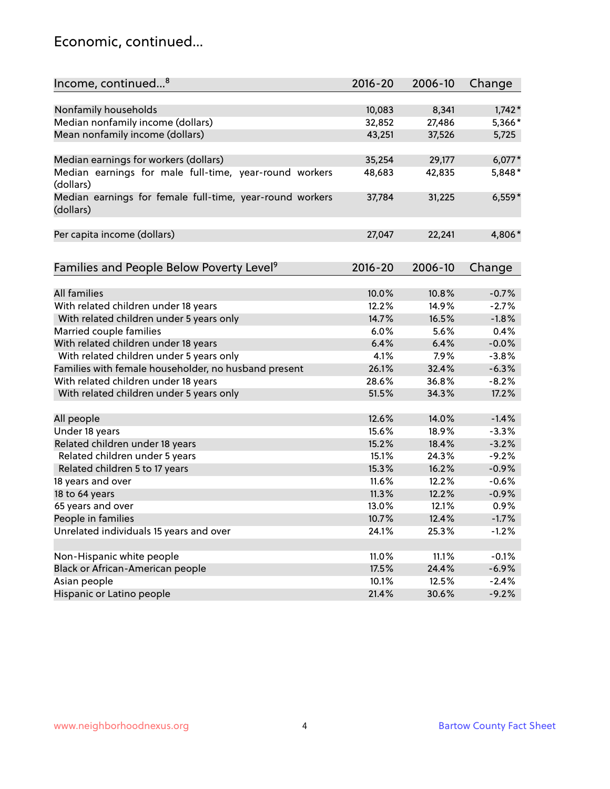### Economic, continued...

| Income, continued <sup>8</sup>                                        | $2016 - 20$ | 2006-10 | Change   |
|-----------------------------------------------------------------------|-------------|---------|----------|
|                                                                       |             |         |          |
| Nonfamily households                                                  | 10,083      | 8,341   | $1,742*$ |
| Median nonfamily income (dollars)                                     | 32,852      | 27,486  | 5,366*   |
| Mean nonfamily income (dollars)                                       | 43,251      | 37,526  | 5,725    |
| Median earnings for workers (dollars)                                 | 35,254      | 29,177  | $6,077*$ |
| Median earnings for male full-time, year-round workers                | 48,683      | 42,835  | 5,848*   |
| (dollars)                                                             |             |         |          |
| Median earnings for female full-time, year-round workers<br>(dollars) | 37,784      | 31,225  | $6,559*$ |
| Per capita income (dollars)                                           | 27,047      | 22,241  | 4,806*   |
|                                                                       |             |         |          |
| Families and People Below Poverty Level <sup>9</sup>                  | 2016-20     | 2006-10 | Change   |
|                                                                       |             |         |          |
| <b>All families</b>                                                   | 10.0%       | 10.8%   | $-0.7%$  |
| With related children under 18 years                                  | 12.2%       | 14.9%   | $-2.7%$  |
| With related children under 5 years only                              | 14.7%       | 16.5%   | $-1.8%$  |
| Married couple families                                               | 6.0%        | 5.6%    | 0.4%     |
| With related children under 18 years                                  | 6.4%        | 6.4%    | $-0.0%$  |
| With related children under 5 years only                              | 4.1%        | 7.9%    | $-3.8%$  |
| Families with female householder, no husband present                  | 26.1%       | 32.4%   | $-6.3%$  |
| With related children under 18 years                                  | 28.6%       | 36.8%   | $-8.2%$  |
| With related children under 5 years only                              | 51.5%       | 34.3%   | 17.2%    |
| All people                                                            | 12.6%       | 14.0%   | $-1.4%$  |
| Under 18 years                                                        | 15.6%       | 18.9%   | $-3.3%$  |
| Related children under 18 years                                       | 15.2%       | 18.4%   | $-3.2%$  |
| Related children under 5 years                                        | 15.1%       | 24.3%   | $-9.2%$  |
| Related children 5 to 17 years                                        | 15.3%       | 16.2%   | $-0.9%$  |
| 18 years and over                                                     | 11.6%       | 12.2%   | $-0.6%$  |
| 18 to 64 years                                                        | 11.3%       | 12.2%   | $-0.9%$  |
| 65 years and over                                                     | 13.0%       | 12.1%   | 0.9%     |
| People in families                                                    | 10.7%       | 12.4%   | $-1.7%$  |
| Unrelated individuals 15 years and over                               | 24.1%       | 25.3%   | $-1.2%$  |
|                                                                       |             |         |          |
| Non-Hispanic white people                                             | 11.0%       | 11.1%   | $-0.1%$  |
| Black or African-American people                                      | 17.5%       | 24.4%   | $-6.9%$  |
| Asian people                                                          | 10.1%       | 12.5%   | $-2.4%$  |
| Hispanic or Latino people                                             | 21.4%       | 30.6%   | $-9.2%$  |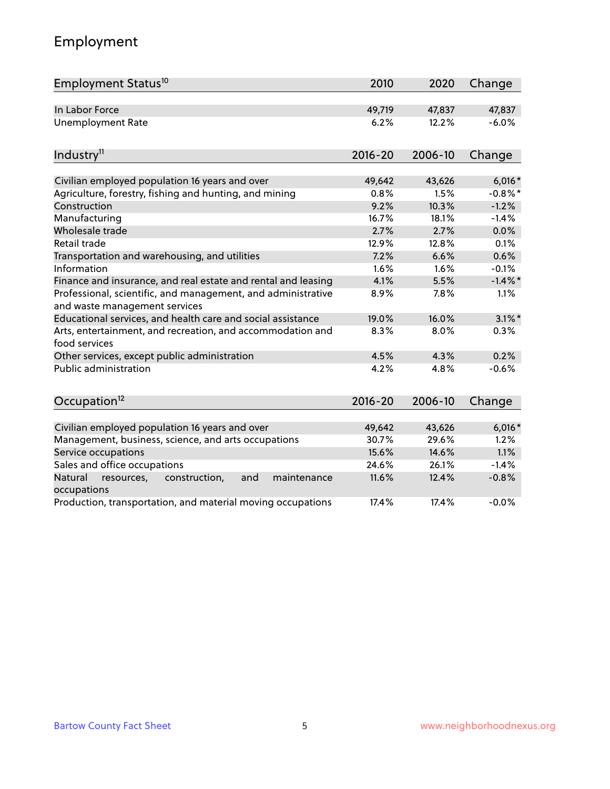# Employment

| Employment Status <sup>10</sup>                                                               | 2010        | 2020    | Change     |
|-----------------------------------------------------------------------------------------------|-------------|---------|------------|
| In Labor Force                                                                                | 49,719      | 47,837  | 47,837     |
| <b>Unemployment Rate</b>                                                                      | 6.2%        | 12.2%   | $-6.0%$    |
| Industry <sup>11</sup>                                                                        | $2016 - 20$ | 2006-10 | Change     |
| Civilian employed population 16 years and over                                                | 49,642      | 43,626  | $6,016*$   |
| Agriculture, forestry, fishing and hunting, and mining                                        | 0.8%        | 1.5%    | $-0.8\%$ * |
| Construction                                                                                  | 9.2%        | 10.3%   | $-1.2%$    |
| Manufacturing                                                                                 | 16.7%       | 18.1%   | $-1.4%$    |
| Wholesale trade                                                                               | 2.7%        | 2.7%    | 0.0%       |
| Retail trade                                                                                  | 12.9%       | 12.8%   | 0.1%       |
| Transportation and warehousing, and utilities                                                 | 7.2%        | 6.6%    | 0.6%       |
| Information                                                                                   | 1.6%        | 1.6%    | $-0.1%$    |
| Finance and insurance, and real estate and rental and leasing                                 | 4.1%        | 5.5%    | $-1.4\%$ * |
| Professional, scientific, and management, and administrative<br>and waste management services | 8.9%        | 7.8%    | 1.1%       |
| Educational services, and health care and social assistance                                   | 19.0%       | 16.0%   | $3.1\%$ *  |
| Arts, entertainment, and recreation, and accommodation and<br>food services                   | 8.3%        | 8.0%    | 0.3%       |
| Other services, except public administration                                                  | 4.5%        | 4.3%    | 0.2%       |
| <b>Public administration</b>                                                                  | 4.2%        | 4.8%    | $-0.6%$    |
| Occupation <sup>12</sup>                                                                      | $2016 - 20$ | 2006-10 | Change     |
|                                                                                               |             |         |            |
| Civilian employed population 16 years and over                                                | 49,642      | 43,626  | $6,016*$   |
| Management, business, science, and arts occupations                                           | 30.7%       | 29.6%   | 1.2%       |
| Service occupations                                                                           | 15.6%       | 14.6%   | 1.1%       |
| Sales and office occupations                                                                  | 24.6%       | 26.1%   | $-1.4%$    |
| Natural<br>resources,<br>construction,<br>and<br>maintenance<br>occupations                   | 11.6%       | 12.4%   | $-0.8%$    |
| Production, transportation, and material moving occupations                                   | 17.4%       | 17.4%   | $-0.0%$    |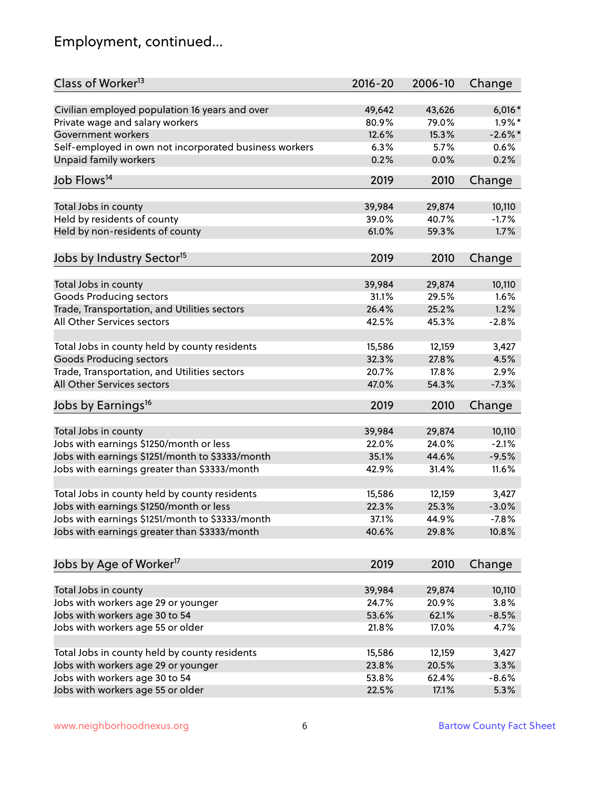# Employment, continued...

| Class of Worker <sup>13</sup>                          | $2016 - 20$ | 2006-10 | Change     |
|--------------------------------------------------------|-------------|---------|------------|
| Civilian employed population 16 years and over         | 49,642      | 43,626  | $6,016*$   |
| Private wage and salary workers                        | 80.9%       | 79.0%   | $1.9\%$ *  |
| Government workers                                     | 12.6%       | 15.3%   | $-2.6\%$ * |
| Self-employed in own not incorporated business workers | 6.3%        | 5.7%    | 0.6%       |
| <b>Unpaid family workers</b>                           | 0.2%        | 0.0%    | 0.2%       |
| Job Flows <sup>14</sup>                                | 2019        | 2010    | Change     |
|                                                        |             |         |            |
| Total Jobs in county                                   | 39,984      | 29,874  | 10,110     |
| Held by residents of county                            | 39.0%       | 40.7%   | $-1.7%$    |
| Held by non-residents of county                        | 61.0%       | 59.3%   | 1.7%       |
| Jobs by Industry Sector <sup>15</sup>                  | 2019        | 2010    | Change     |
| Total Jobs in county                                   | 39,984      | 29,874  | 10,110     |
| <b>Goods Producing sectors</b>                         | 31.1%       | 29.5%   | 1.6%       |
| Trade, Transportation, and Utilities sectors           | 26.4%       | 25.2%   | 1.2%       |
| All Other Services sectors                             |             |         |            |
|                                                        | 42.5%       | 45.3%   | $-2.8%$    |
| Total Jobs in county held by county residents          | 15,586      | 12,159  | 3,427      |
| <b>Goods Producing sectors</b>                         | 32.3%       | 27.8%   | 4.5%       |
| Trade, Transportation, and Utilities sectors           | 20.7%       | 17.8%   | 2.9%       |
| All Other Services sectors                             | 47.0%       | 54.3%   | $-7.3%$    |
| Jobs by Earnings <sup>16</sup>                         | 2019        | 2010    | Change     |
|                                                        |             |         |            |
| Total Jobs in county                                   | 39,984      | 29,874  | 10,110     |
| Jobs with earnings \$1250/month or less                | 22.0%       | 24.0%   | $-2.1%$    |
| Jobs with earnings \$1251/month to \$3333/month        | 35.1%       | 44.6%   | $-9.5%$    |
| Jobs with earnings greater than \$3333/month           | 42.9%       | 31.4%   | 11.6%      |
| Total Jobs in county held by county residents          | 15,586      | 12,159  | 3,427      |
| Jobs with earnings \$1250/month or less                | 22.3%       | 25.3%   | $-3.0%$    |
| Jobs with earnings \$1251/month to \$3333/month        | 37.1%       | 44.9%   | -7.8%      |
| Jobs with earnings greater than \$3333/month           | 40.6%       | 29.8%   | 10.8%      |
|                                                        |             |         |            |
| Jobs by Age of Worker <sup>17</sup>                    | 2019        | 2010    | Change     |
| Total Jobs in county                                   | 39,984      | 29,874  | 10,110     |
| Jobs with workers age 29 or younger                    | 24.7%       | 20.9%   | 3.8%       |
| Jobs with workers age 30 to 54                         | 53.6%       | 62.1%   | $-8.5%$    |
| Jobs with workers age 55 or older                      | 21.8%       | 17.0%   | 4.7%       |
|                                                        |             |         |            |
| Total Jobs in county held by county residents          | 15,586      | 12,159  | 3,427      |
| Jobs with workers age 29 or younger                    | 23.8%       | 20.5%   | 3.3%       |
| Jobs with workers age 30 to 54                         | 53.8%       | 62.4%   | $-8.6%$    |
| Jobs with workers age 55 or older                      | 22.5%       | 17.1%   | 5.3%       |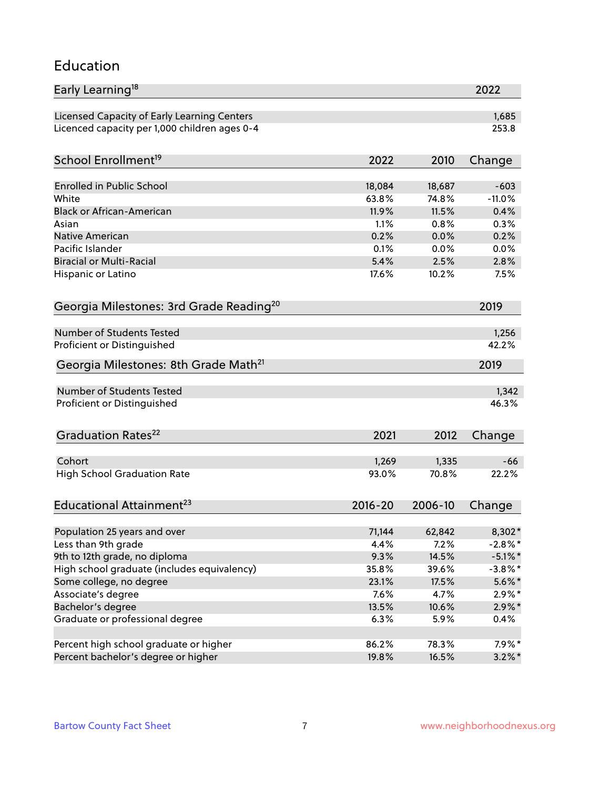#### Education

| Early Learning <sup>18</sup>                        |                |                | 2022       |
|-----------------------------------------------------|----------------|----------------|------------|
| Licensed Capacity of Early Learning Centers         |                |                | 1,685      |
| Licenced capacity per 1,000 children ages 0-4       |                |                | 253.8      |
| School Enrollment <sup>19</sup>                     | 2022           | 2010           | Change     |
|                                                     |                |                |            |
| Enrolled in Public School                           | 18,084         | 18,687         | $-603$     |
| White                                               | 63.8%          | 74.8%          | $-11.0%$   |
| <b>Black or African-American</b>                    | 11.9%          | 11.5%          | 0.4%       |
| Asian                                               | 1.1%           | 0.8%           | 0.3%       |
| Native American                                     | 0.2%           | 0.0%           | 0.2%       |
| Pacific Islander                                    | 0.1%           | 0.0%           | 0.0%       |
| <b>Biracial or Multi-Racial</b>                     | 5.4%           | 2.5%           | 2.8%       |
| Hispanic or Latino                                  | 17.6%          | 10.2%          | 7.5%       |
| Georgia Milestones: 3rd Grade Reading <sup>20</sup> |                |                | 2019       |
|                                                     |                |                |            |
| Number of Students Tested                           |                |                | 1,256      |
| Proficient or Distinguished                         |                |                | 42.2%      |
| Georgia Milestones: 8th Grade Math <sup>21</sup>    |                |                | 2019       |
| Number of Students Tested                           |                |                | 1,342      |
| Proficient or Distinguished                         |                |                | 46.3%      |
|                                                     |                |                |            |
| Graduation Rates <sup>22</sup>                      | 2021           | 2012           | Change     |
| Cohort                                              |                |                | $-66$      |
|                                                     | 1,269<br>93.0% | 1,335<br>70.8% | 22.2%      |
| <b>High School Graduation Rate</b>                  |                |                |            |
| Educational Attainment <sup>23</sup>                | $2016 - 20$    | 2006-10        | Change     |
| Population 25 years and over                        | 71,144         | 62,842         | 8,302*     |
| Less than 9th grade                                 | 4.4%           | 7.2%           | $-2.8\%$ * |
| 9th to 12th grade, no diploma                       | 9.3%           | 14.5%          | $-5.1\%$ * |
| High school graduate (includes equivalency)         | 35.8%          | 39.6%          | $-3.8\%$ * |
| Some college, no degree                             | 23.1%          | 17.5%          | $5.6\%$ *  |
| Associate's degree                                  | 7.6%           | 4.7%           | $2.9\%*$   |
| Bachelor's degree                                   | 13.5%          | 10.6%          | $2.9\%$ *  |
| Graduate or professional degree                     | 6.3%           | 5.9%           | 0.4%       |
|                                                     |                |                |            |
| Percent high school graduate or higher              | 86.2%          | 78.3%          | $7.9\%$ *  |
| Percent bachelor's degree or higher                 | 19.8%          | 16.5%          | $3.2\%$ *  |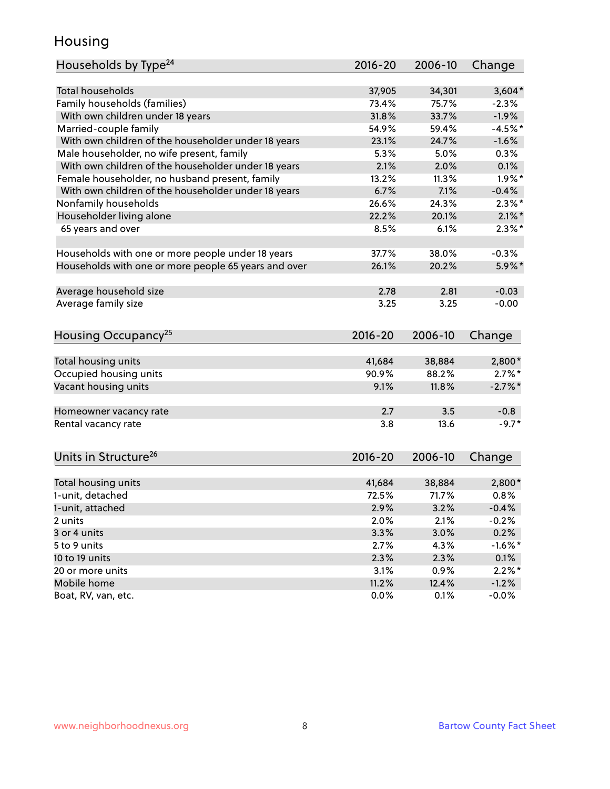### Housing

| Households by Type <sup>24</sup>                     | 2016-20     | 2006-10       | Change             |
|------------------------------------------------------|-------------|---------------|--------------------|
|                                                      |             |               |                    |
| <b>Total households</b>                              | 37,905      | 34,301        | $3,604*$           |
| Family households (families)                         | 73.4%       | 75.7%         | $-2.3%$            |
| With own children under 18 years                     | 31.8%       | 33.7%         | $-1.9%$            |
| Married-couple family                                | 54.9%       | 59.4%         | $-4.5%$ *          |
| With own children of the householder under 18 years  | 23.1%       | 24.7%         | $-1.6%$            |
| Male householder, no wife present, family            | 5.3%        | 5.0%          | 0.3%               |
| With own children of the householder under 18 years  | 2.1%        | 2.0%          | 0.1%               |
| Female householder, no husband present, family       | 13.2%       | 11.3%         | $1.9\%$ *          |
| With own children of the householder under 18 years  | 6.7%        | 7.1%          | $-0.4%$            |
| Nonfamily households                                 | 26.6%       | 24.3%         | $2.3\%$ *          |
| Householder living alone                             | 22.2%       | 20.1%         | $2.1\%$ *          |
| 65 years and over                                    | 8.5%        | 6.1%          | $2.3\%$ *          |
|                                                      |             |               |                    |
| Households with one or more people under 18 years    | 37.7%       | 38.0%         | $-0.3%$            |
| Households with one or more people 65 years and over | 26.1%       | 20.2%         | $5.9\%$ *          |
|                                                      |             |               |                    |
| Average household size                               | 2.78        | 2.81          | $-0.03$            |
| Average family size                                  | 3.25        | 3.25          | $-0.00$            |
|                                                      |             |               |                    |
| Housing Occupancy <sup>25</sup>                      | 2016-20     | 2006-10       | Change             |
|                                                      |             |               |                    |
| Total housing units                                  | 41,684      | 38,884        | 2,800*             |
| Occupied housing units                               | 90.9%       | 88.2%         | $2.7\%$ *          |
| Vacant housing units                                 | 9.1%        | 11.8%         | $-2.7\%$ *         |
|                                                      |             |               |                    |
| Homeowner vacancy rate                               | 2.7         | 3.5           | $-0.8$             |
| Rental vacancy rate                                  | 3.8         | 13.6          | $-9.7*$            |
|                                                      |             |               |                    |
| Units in Structure <sup>26</sup>                     | $2016 - 20$ | 2006-10       |                    |
|                                                      |             |               | Change             |
| Total housing units                                  | 41,684      | 38,884        | $2,800*$           |
| 1-unit, detached                                     | 72.5%       | 71.7%         | 0.8%               |
| 1-unit, attached                                     | 2.9%        | 3.2%          | $-0.4%$            |
| 2 units                                              | 2.0%        | 2.1%          | $-0.2%$            |
| 3 or 4 units                                         | 3.3%        | 3.0%          | 0.2%               |
| 5 to 9 units                                         | 2.7%        | 4.3%          | $-1.6\%$ *         |
| 10 to 19 units                                       | 2.3%        | 2.3%          | 0.1%               |
| 20 or more units                                     | 3.1%        | 0.9%          | $2.2\%$ *          |
| Mobile home                                          | 11.2%       |               |                    |
| Boat, RV, van, etc.                                  | 0.0%        | 12.4%<br>0.1% | $-1.2%$<br>$-0.0%$ |
|                                                      |             |               |                    |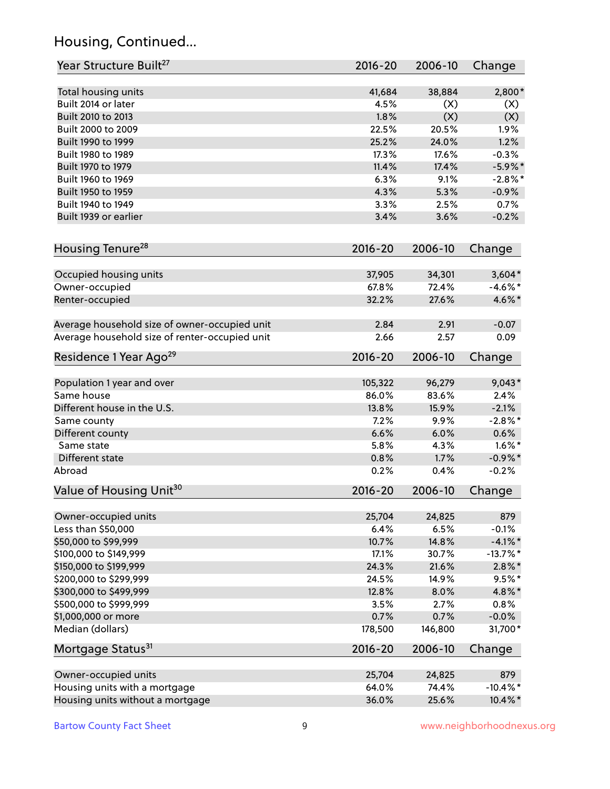# Housing, Continued...

| Year Structure Built <sup>27</sup>             | 2016-20     | 2006-10 | Change      |
|------------------------------------------------|-------------|---------|-------------|
| Total housing units                            | 41,684      | 38,884  | 2,800*      |
| Built 2014 or later                            | 4.5%        | (X)     | (X)         |
| Built 2010 to 2013                             | 1.8%        | (X)     | (X)         |
| Built 2000 to 2009                             | 22.5%       | 20.5%   | 1.9%        |
| Built 1990 to 1999                             | 25.2%       | 24.0%   | 1.2%        |
| Built 1980 to 1989                             | 17.3%       | 17.6%   | $-0.3%$     |
| Built 1970 to 1979                             | 11.4%       | 17.4%   | $-5.9\%$ *  |
| Built 1960 to 1969                             | 6.3%        | 9.1%    | $-2.8\%$ *  |
| Built 1950 to 1959                             | 4.3%        | 5.3%    | $-0.9%$     |
| Built 1940 to 1949                             | 3.3%        | 2.5%    | 0.7%        |
| Built 1939 or earlier                          | 3.4%        | 3.6%    | $-0.2%$     |
| Housing Tenure <sup>28</sup>                   | $2016 - 20$ | 2006-10 | Change      |
| Occupied housing units                         | 37,905      | 34,301  | $3,604*$    |
| Owner-occupied                                 | 67.8%       | 72.4%   | $-4.6\%$ *  |
| Renter-occupied                                | 32.2%       | 27.6%   | 4.6%*       |
| Average household size of owner-occupied unit  | 2.84        | 2.91    | $-0.07$     |
| Average household size of renter-occupied unit | 2.66        | 2.57    | 0.09        |
| Residence 1 Year Ago <sup>29</sup>             | 2016-20     | 2006-10 | Change      |
| Population 1 year and over                     | 105,322     | 96,279  | $9,043*$    |
| Same house                                     | 86.0%       | 83.6%   | 2.4%        |
| Different house in the U.S.                    | 13.8%       | 15.9%   | $-2.1%$     |
| Same county                                    | 7.2%        | 9.9%    | $-2.8\%$ *  |
| Different county                               | 6.6%        | 6.0%    | 0.6%        |
| Same state                                     | 5.8%        | 4.3%    | $1.6\%$ *   |
| Different state                                | 0.8%        | 1.7%    | $-0.9\%$ *  |
| Abroad                                         | 0.2%        | 0.4%    | $-0.2%$     |
| Value of Housing Unit <sup>30</sup>            | $2016 - 20$ | 2006-10 | Change      |
| Owner-occupied units                           | 25,704      | 24,825  | 879         |
| Less than \$50,000                             | 6.4%        | 6.5%    | $-0.1%$     |
| \$50,000 to \$99,999                           | 10.7%       | 14.8%   | $-4.1\%$ *  |
| \$100,000 to \$149,999                         | 17.1%       | 30.7%   | $-13.7%$ *  |
| \$150,000 to \$199,999                         | 24.3%       | 21.6%   | $2.8\%$ *   |
| \$200,000 to \$299,999                         | 24.5%       | 14.9%   | $9.5%$ *    |
| \$300,000 to \$499,999                         | 12.8%       | 8.0%    | 4.8%*       |
| \$500,000 to \$999,999                         | 3.5%        | 2.7%    | 0.8%        |
| \$1,000,000 or more                            | 0.7%        | 0.7%    | $-0.0%$     |
| Median (dollars)                               | 178,500     | 146,800 | 31,700*     |
| Mortgage Status <sup>31</sup>                  | $2016 - 20$ | 2006-10 | Change      |
| Owner-occupied units                           | 25,704      | 24,825  | 879         |
| Housing units with a mortgage                  | 64.0%       | 74.4%   | $-10.4\%$ * |
| Housing units without a mortgage               | 36.0%       | 25.6%   | 10.4%*      |
|                                                |             |         |             |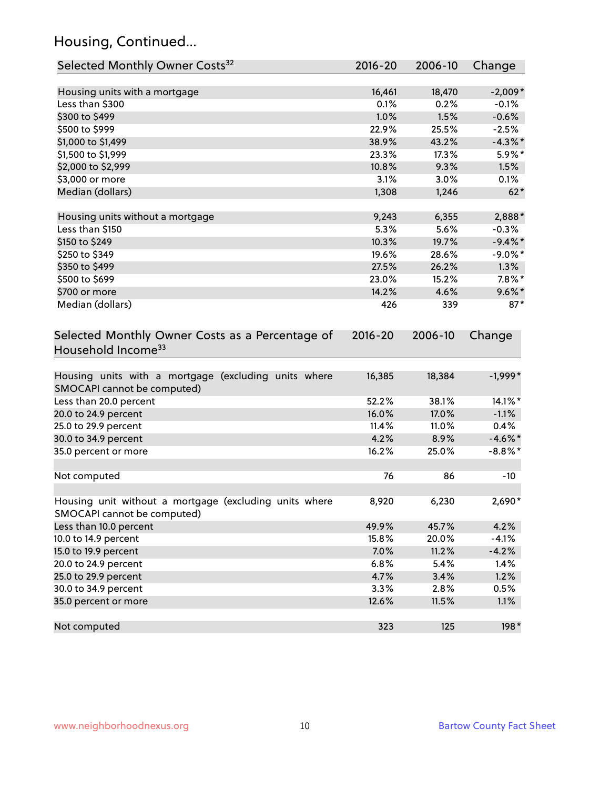# Housing, Continued...

| Selected Monthly Owner Costs <sup>32</sup>                                            | $2016 - 20$ | 2006-10 | Change     |
|---------------------------------------------------------------------------------------|-------------|---------|------------|
| Housing units with a mortgage                                                         | 16,461      | 18,470  | $-2,009*$  |
| Less than \$300                                                                       | 0.1%        | 0.2%    | $-0.1%$    |
| \$300 to \$499                                                                        | 1.0%        | 1.5%    | $-0.6%$    |
| \$500 to \$999                                                                        | 22.9%       | 25.5%   | $-2.5%$    |
| \$1,000 to \$1,499                                                                    | 38.9%       | 43.2%   | $-4.3\%$ * |
| \$1,500 to \$1,999                                                                    | 23.3%       | 17.3%   | 5.9%*      |
| \$2,000 to \$2,999                                                                    | 10.8%       | 9.3%    | 1.5%       |
| \$3,000 or more                                                                       | 3.1%        | 3.0%    | 0.1%       |
| Median (dollars)                                                                      | 1,308       | 1,246   | $62*$      |
| Housing units without a mortgage                                                      | 9,243       | 6,355   | 2,888*     |
| Less than \$150                                                                       | 5.3%        | 5.6%    | $-0.3%$    |
| \$150 to \$249                                                                        | 10.3%       | 19.7%   | $-9.4\%$ * |
| \$250 to \$349                                                                        | 19.6%       | 28.6%   | $-9.0\%$ * |
| \$350 to \$499                                                                        | 27.5%       | 26.2%   | 1.3%       |
| \$500 to \$699                                                                        | 23.0%       | 15.2%   | $7.8\%$ *  |
| \$700 or more                                                                         | 14.2%       | 4.6%    | $9.6\%$ *  |
| Median (dollars)                                                                      | 426         | 339     | $87*$      |
| Selected Monthly Owner Costs as a Percentage of<br>Household Income <sup>33</sup>     | $2016 - 20$ | 2006-10 | Change     |
| Housing units with a mortgage (excluding units where<br>SMOCAPI cannot be computed)   | 16,385      | 18,384  | $-1,999*$  |
| Less than 20.0 percent                                                                | 52.2%       | 38.1%   | 14.1%*     |
| 20.0 to 24.9 percent                                                                  | 16.0%       | 17.0%   | $-1.1%$    |
| 25.0 to 29.9 percent                                                                  | 11.4%       | 11.0%   | 0.4%       |
| 30.0 to 34.9 percent                                                                  | 4.2%        | 8.9%    | $-4.6\%$ * |
| 35.0 percent or more                                                                  | 16.2%       | 25.0%   | $-8.8\%$ * |
| Not computed                                                                          | 76          | 86      | $-10$      |
| Housing unit without a mortgage (excluding units where<br>SMOCAPI cannot be computed) | 8,920       | 6,230   | 2,690*     |
| Less than 10.0 percent                                                                | 49.9%       | 45.7%   | 4.2%       |
| 10.0 to 14.9 percent                                                                  | 15.8%       | 20.0%   | $-4.1%$    |
| 15.0 to 19.9 percent                                                                  | 7.0%        | 11.2%   | $-4.2%$    |
| 20.0 to 24.9 percent                                                                  | 6.8%        | 5.4%    | 1.4%       |
| 25.0 to 29.9 percent                                                                  | 4.7%        | 3.4%    | 1.2%       |
| 30.0 to 34.9 percent                                                                  | 3.3%        | 2.8%    | 0.5%       |
| 35.0 percent or more                                                                  | 12.6%       | 11.5%   | 1.1%       |
| Not computed                                                                          | 323         | 125     | 198*       |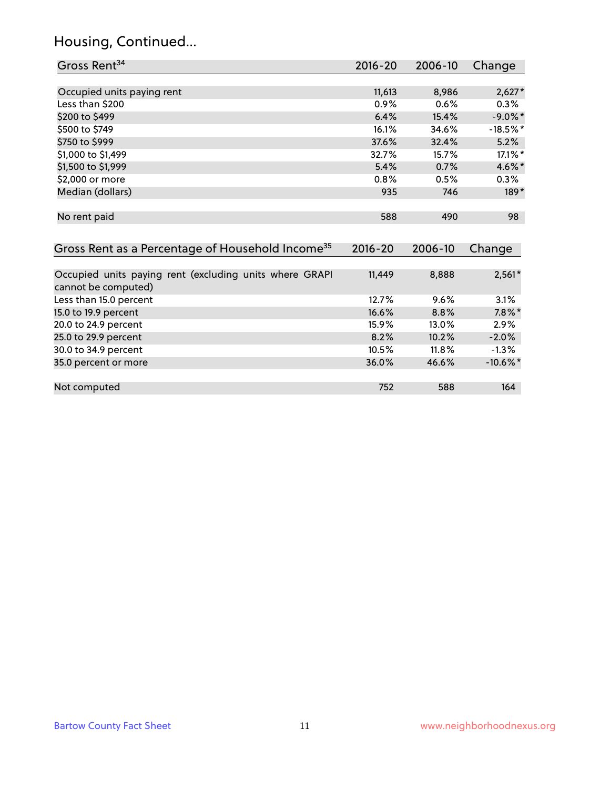# Housing, Continued...

| Gross Rent <sup>34</sup>                                                       | 2016-20     | 2006-10 | Change      |
|--------------------------------------------------------------------------------|-------------|---------|-------------|
|                                                                                |             |         |             |
| Occupied units paying rent                                                     | 11,613      | 8,986   | $2,627*$    |
| Less than \$200                                                                | 0.9%        | 0.6%    | 0.3%        |
| \$200 to \$499                                                                 | 6.4%        | 15.4%   | $-9.0\%$ *  |
| \$500 to \$749                                                                 | 16.1%       | 34.6%   | $-18.5%$ *  |
| \$750 to \$999                                                                 | 37.6%       | 32.4%   | 5.2%        |
| \$1,000 to \$1,499                                                             | 32.7%       | 15.7%   | 17.1%*      |
| \$1,500 to \$1,999                                                             | 5.4%        | 0.7%    | 4.6%*       |
| \$2,000 or more                                                                | 0.8%        | 0.5%    | 0.3%        |
| Median (dollars)                                                               | 935         | 746     | $189*$      |
| No rent paid                                                                   | 588         | 490     | 98          |
| Gross Rent as a Percentage of Household Income <sup>35</sup>                   | $2016 - 20$ | 2006-10 | Change      |
|                                                                                |             |         |             |
| Occupied units paying rent (excluding units where GRAPI<br>cannot be computed) | 11,449      | 8,888   | $2,561*$    |
| Less than 15.0 percent                                                         | 12.7%       | 9.6%    | 3.1%        |
| 15.0 to 19.9 percent                                                           | 16.6%       | 8.8%    | $7.8\%$ *   |
| 20.0 to 24.9 percent                                                           | 15.9%       | 13.0%   | 2.9%        |
| 25.0 to 29.9 percent                                                           | 8.2%        | 10.2%   | $-2.0%$     |
| 30.0 to 34.9 percent                                                           | 10.5%       | 11.8%   | $-1.3%$     |
| 35.0 percent or more                                                           | 36.0%       | 46.6%   | $-10.6\%$ * |
|                                                                                |             |         |             |
| Not computed                                                                   | 752         | 588     | 164         |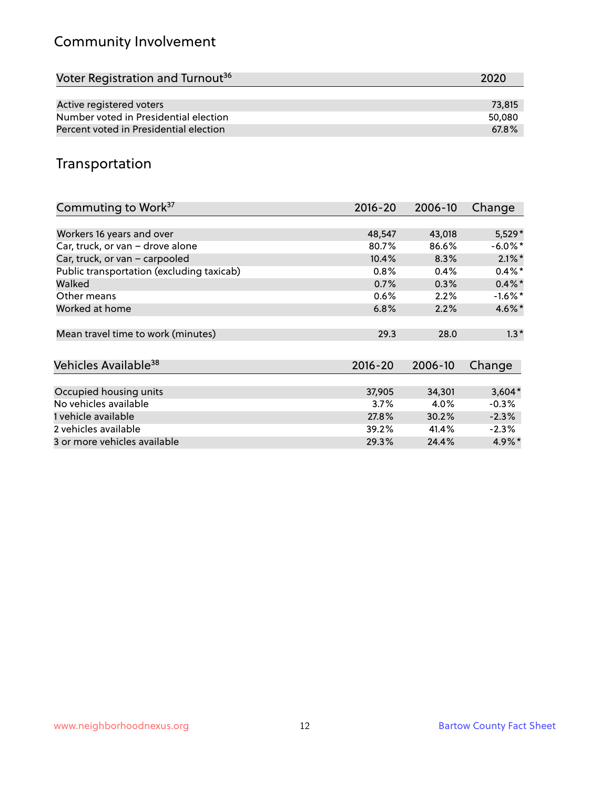# Community Involvement

| Voter Registration and Turnout <sup>36</sup> | 2020   |
|----------------------------------------------|--------|
|                                              |        |
| Active registered voters                     | 73.815 |
| Number voted in Presidential election        | 50,080 |
| Percent voted in Presidential election       | 67.8%  |

## Transportation

| Commuting to Work <sup>37</sup>           | 2016-20     | 2006-10 | Change     |
|-------------------------------------------|-------------|---------|------------|
|                                           |             |         |            |
| Workers 16 years and over                 | 48,547      | 43,018  | $5,529*$   |
| Car, truck, or van - drove alone          | 80.7%       | 86.6%   | $-6.0\%$ * |
| Car, truck, or van - carpooled            | 10.4%       | 8.3%    | $2.1\%$ *  |
| Public transportation (excluding taxicab) | 0.8%        | 0.4%    | $0.4\%$ *  |
| Walked                                    | 0.7%        | 0.3%    | $0.4\%$ *  |
| Other means                               | $0.6\%$     | 2.2%    | $-1.6%$ *  |
| Worked at home                            | 6.8%        | 2.2%    | 4.6%*      |
|                                           |             |         |            |
| Mean travel time to work (minutes)        | 29.3        | 28.0    | $1.3*$     |
|                                           |             |         |            |
| Vehicles Available <sup>38</sup>          | $2016 - 20$ | 2006-10 | Change     |
|                                           |             |         |            |
| Occupied housing units                    | 37,905      | 34,301  | $3,604*$   |
| No vehicles available                     | 3.7%        | 4.0%    | $-0.3%$    |
| 1 vehicle available                       | 27.8%       | 30.2%   | $-2.3%$    |
| 2 vehicles available                      | 39.2%       | 41.4%   | $-2.3%$    |
| 3 or more vehicles available              | 29.3%       | 24.4%   | $4.9\%$ *  |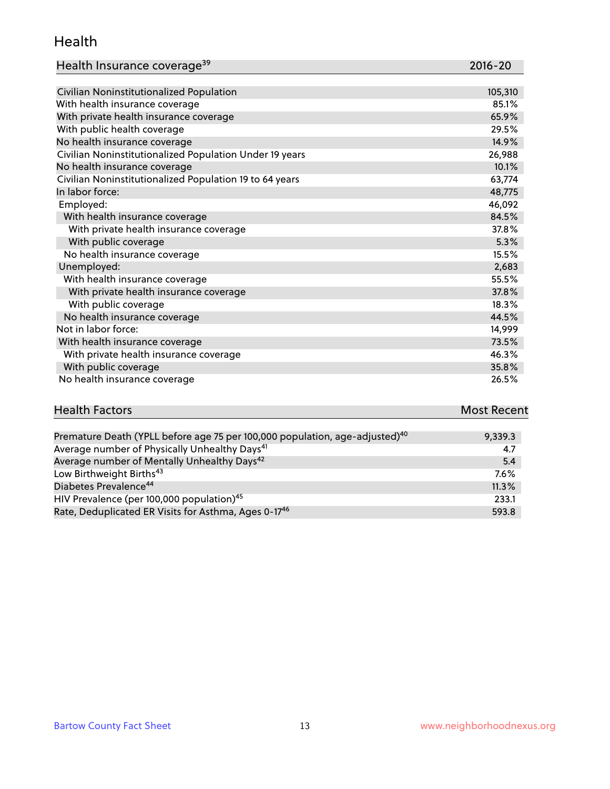#### Health

| Health Insurance coverage <sup>39</sup> | 2016-20 |
|-----------------------------------------|---------|
|-----------------------------------------|---------|

| Civilian Noninstitutionalized Population                | 105,310 |
|---------------------------------------------------------|---------|
| With health insurance coverage                          | 85.1%   |
| With private health insurance coverage                  | 65.9%   |
| With public health coverage                             | 29.5%   |
| No health insurance coverage                            | 14.9%   |
| Civilian Noninstitutionalized Population Under 19 years | 26,988  |
| No health insurance coverage                            | 10.1%   |
| Civilian Noninstitutionalized Population 19 to 64 years | 63,774  |
| In labor force:                                         | 48,775  |
| Employed:                                               | 46,092  |
| With health insurance coverage                          | 84.5%   |
| With private health insurance coverage                  | 37.8%   |
| With public coverage                                    | 5.3%    |
| No health insurance coverage                            | 15.5%   |
| Unemployed:                                             | 2,683   |
| With health insurance coverage                          | 55.5%   |
| With private health insurance coverage                  | 37.8%   |
| With public coverage                                    | 18.3%   |
| No health insurance coverage                            | 44.5%   |
| Not in labor force:                                     | 14,999  |
| With health insurance coverage                          | 73.5%   |
| With private health insurance coverage                  | 46.3%   |
| With public coverage                                    | 35.8%   |
| No health insurance coverage                            | 26.5%   |

# **Health Factors Most Recent** And The Control of the Control of The Control of The Control of The Control of The Control of The Control of The Control of The Control of The Control of The Control of The Control of The Contr

| Premature Death (YPLL before age 75 per 100,000 population, age-adjusted) <sup>40</sup> | 9,339.3 |
|-----------------------------------------------------------------------------------------|---------|
| Average number of Physically Unhealthy Days <sup>41</sup>                               | 4.7     |
| Average number of Mentally Unhealthy Days <sup>42</sup>                                 | 5.4     |
| Low Birthweight Births <sup>43</sup>                                                    | $7.6\%$ |
| Diabetes Prevalence <sup>44</sup>                                                       | 11.3%   |
| HIV Prevalence (per 100,000 population) <sup>45</sup>                                   | 233.1   |
| Rate, Deduplicated ER Visits for Asthma, Ages 0-17 <sup>46</sup>                        | 593.8   |